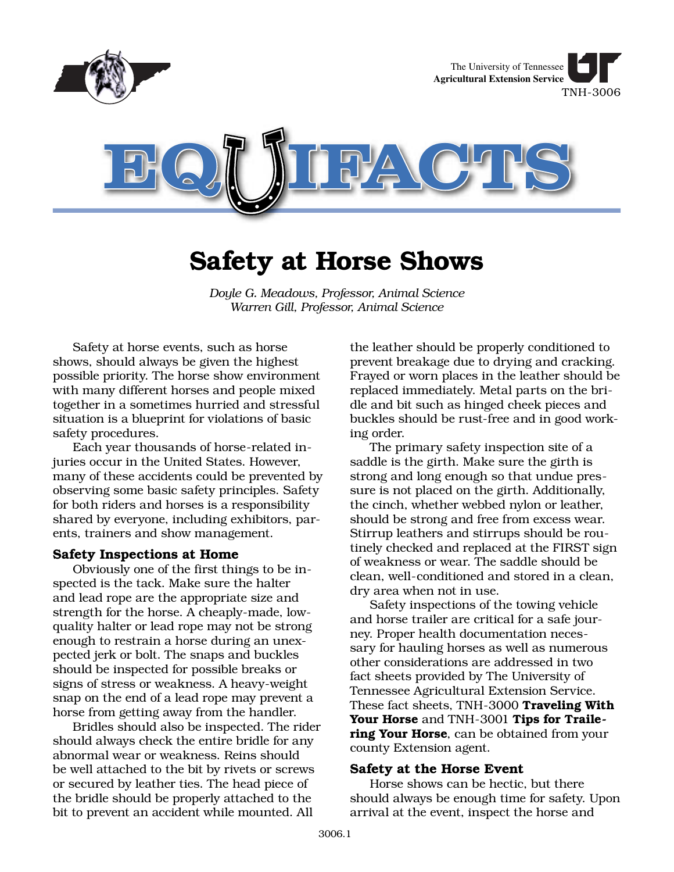

# **Safety at Horse Shows**

*Doyle G. Meadows, Professor, Animal Science Warren Gill, Professor, Animal Science*

Safety at horse events, such as horse shows, should always be given the highest possible priority. The horse show environment with many different horses and people mixed together in a sometimes hurried and stressful situation is a blueprint for violations of basic safety procedures.

Each year thousands of horse-related injuries occur in the United States. However, many of these accidents could be prevented by observing some basic safety principles. Safety for both riders and horses is a responsibility shared by everyone, including exhibitors, parents, trainers and show management.

#### **Safety Inspections at Home**

Obviously one of the first things to be inspected is the tack. Make sure the halter and lead rope are the appropriate size and strength for the horse. A cheaply-made, lowquality halter or lead rope may not be strong enough to restrain a horse during an unexpected jerk or bolt. The snaps and buckles should be inspected for possible breaks or signs of stress or weakness. A heavy-weight snap on the end of a lead rope may prevent a horse from getting away from the handler.

Bridles should also be inspected. The rider should always check the entire bridle for any abnormal wear or weakness. Reins should be well attached to the bit by rivets or screws or secured by leather ties. The head piece of the bridle should be properly attached to the bit to prevent an accident while mounted. All

the leather should be properly conditioned to prevent breakage due to drying and cracking. Frayed or worn places in the leather should be replaced immediately. Metal parts on the bridle and bit such as hinged cheek pieces and buckles should be rust-free and in good working order.

The primary safety inspection site of a saddle is the girth. Make sure the girth is strong and long enough so that undue pressure is not placed on the girth. Additionally, the cinch, whether webbed nylon or leather, should be strong and free from excess wear. Stirrup leathers and stirrups should be routinely checked and replaced at the FIRST sign of weakness or wear. The saddle should be clean, well-conditioned and stored in a clean, dry area when not in use.

Safety inspections of the towing vehicle and horse trailer are critical for a safe journey. Proper health documentation necessary for hauling horses as well as numerous other considerations are addressed in two fact sheets provided by The University of Tennessee Agricultural Extension Service. These fact sheets, TNH-3000 **Traveling With Your Horse** and TNH-3001 **Tips for Trailering Your Horse**, can be obtained from your county Extension agent.

## **Safety at the Horse Event**

Horse shows can be hectic, but there should always be enough time for safety. Upon arrival at the event, inspect the horse and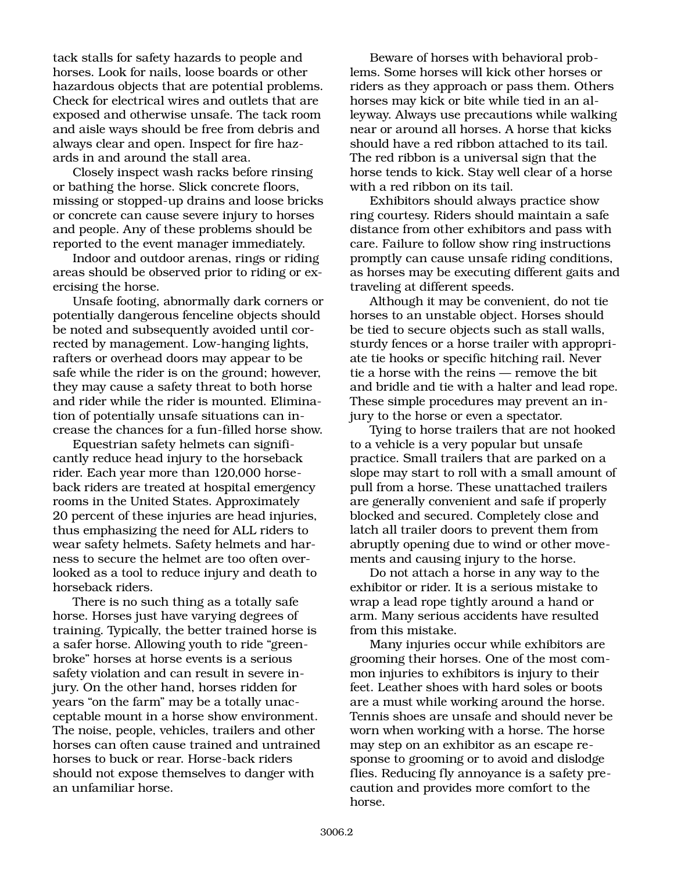tack stalls for safety hazards to people and horses. Look for nails, loose boards or other hazardous objects that are potential problems. Check for electrical wires and outlets that are exposed and otherwise unsafe. The tack room and aisle ways should be free from debris and always clear and open. Inspect for fire hazards in and around the stall area.

Closely inspect wash racks before rinsing or bathing the horse. Slick concrete floors, missing or stopped-up drains and loose bricks or concrete can cause severe injury to horses and people. Any of these problems should be reported to the event manager immediately.

Indoor and outdoor arenas, rings or riding areas should be observed prior to riding or exercising the horse.

Unsafe footing, abnormally dark corners or potentially dangerous fenceline objects should be noted and subsequently avoided until corrected by management. Low-hanging lights, rafters or overhead doors may appear to be safe while the rider is on the ground; however, they may cause a safety threat to both horse and rider while the rider is mounted. Elimination of potentially unsafe situations can increase the chances for a fun-filled horse show.

Equestrian safety helmets can significantly reduce head injury to the horseback rider. Each year more than 120,000 horseback riders are treated at hospital emergency rooms in the United States. Approximately 20 percent of these injuries are head injuries, thus emphasizing the need for ALL riders to wear safety helmets. Safety helmets and harness to secure the helmet are too often overlooked as a tool to reduce injury and death to horseback riders.

There is no such thing as a totally safe horse. Horses just have varying degrees of training. Typically, the better trained horse is a safer horse. Allowing youth to ride "greenbroke" horses at horse events is a serious safety violation and can result in severe injury. On the other hand, horses ridden for years "on the farm" may be a totally unacceptable mount in a horse show environment. The noise, people, vehicles, trailers and other horses can often cause trained and untrained horses to buck or rear. Horse-back riders should not expose themselves to danger with an unfamiliar horse.

Beware of horses with behavioral problems. Some horses will kick other horses or riders as they approach or pass them. Others horses may kick or bite while tied in an alleyway. Always use precautions while walking near or around all horses. A horse that kicks should have a red ribbon attached to its tail. The red ribbon is a universal sign that the horse tends to kick. Stay well clear of a horse with a red ribbon on its tail.

Exhibitors should always practice show ring courtesy. Riders should maintain a safe distance from other exhibitors and pass with care. Failure to follow show ring instructions promptly can cause unsafe riding conditions, as horses may be executing different gaits and traveling at different speeds.

Although it may be convenient, do not tie horses to an unstable object. Horses should be tied to secure objects such as stall walls, sturdy fences or a horse trailer with appropriate tie hooks or specific hitching rail. Never tie a horse with the reins — remove the bit and bridle and tie with a halter and lead rope. These simple procedures may prevent an injury to the horse or even a spectator.

Tying to horse trailers that are not hooked to a vehicle is a very popular but unsafe practice. Small trailers that are parked on a slope may start to roll with a small amount of pull from a horse. These unattached trailers are generally convenient and safe if properly blocked and secured. Completely close and latch all trailer doors to prevent them from abruptly opening due to wind or other movements and causing injury to the horse.

Do not attach a horse in any way to the exhibitor or rider. It is a serious mistake to wrap a lead rope tightly around a hand or arm. Many serious accidents have resulted from this mistake.

Many injuries occur while exhibitors are grooming their horses. One of the most common injuries to exhibitors is injury to their feet. Leather shoes with hard soles or boots are a must while working around the horse. Tennis shoes are unsafe and should never be worn when working with a horse. The horse may step on an exhibitor as an escape response to grooming or to avoid and dislodge flies. Reducing fly annoyance is a safety precaution and provides more comfort to the horse.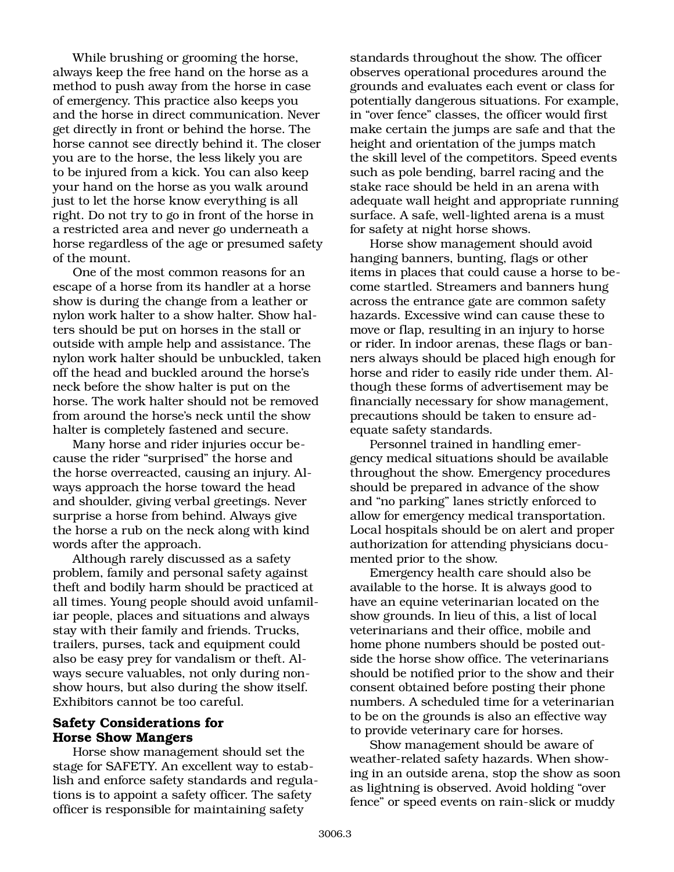While brushing or grooming the horse, always keep the free hand on the horse as a method to push away from the horse in case of emergency. This practice also keeps you and the horse in direct communication. Never get directly in front or behind the horse. The horse cannot see directly behind it. The closer you are to the horse, the less likely you are to be injured from a kick. You can also keep your hand on the horse as you walk around just to let the horse know everything is all right. Do not try to go in front of the horse in a restricted area and never go underneath a horse regardless of the age or presumed safety of the mount.

One of the most common reasons for an escape of a horse from its handler at a horse show is during the change from a leather or nylon work halter to a show halter. Show halters should be put on horses in the stall or outside with ample help and assistance. The nylon work halter should be unbuckled, taken off the head and buckled around the horse's neck before the show halter is put on the horse. The work halter should not be removed from around the horse's neck until the show halter is completely fastened and secure.

Many horse and rider injuries occur because the rider "surprised" the horse and the horse overreacted, causing an injury. Always approach the horse toward the head and shoulder, giving verbal greetings. Never surprise a horse from behind. Always give the horse a rub on the neck along with kind words after the approach.

Although rarely discussed as a safety problem, family and personal safety against theft and bodily harm should be practiced at all times. Young people should avoid unfamiliar people, places and situations and always stay with their family and friends. Trucks, trailers, purses, tack and equipment could also be easy prey for vandalism or theft. Always secure valuables, not only during nonshow hours, but also during the show itself. Exhibitors cannot be too careful.

## **Safety Considerations for Horse Show Mangers**

Horse show management should set the stage for SAFETY. An excellent way to establish and enforce safety standards and regulations is to appoint a safety officer. The safety officer is responsible for maintaining safety

standards throughout the show. The officer observes operational procedures around the grounds and evaluates each event or class for potentially dangerous situations. For example, in "over fence" classes, the officer would first make certain the jumps are safe and that the height and orientation of the jumps match the skill level of the competitors. Speed events such as pole bending, barrel racing and the stake race should be held in an arena with adequate wall height and appropriate running surface. A safe, well-lighted arena is a must for safety at night horse shows.

Horse show management should avoid hanging banners, bunting, flags or other items in places that could cause a horse to become startled. Streamers and banners hung across the entrance gate are common safety hazards. Excessive wind can cause these to move or flap, resulting in an injury to horse or rider. In indoor arenas, these flags or banners always should be placed high enough for horse and rider to easily ride under them. Although these forms of advertisement may be financially necessary for show management, precautions should be taken to ensure adequate safety standards.

Personnel trained in handling emergency medical situations should be available throughout the show. Emergency procedures should be prepared in advance of the show and "no parking" lanes strictly enforced to allow for emergency medical transportation. Local hospitals should be on alert and proper authorization for attending physicians documented prior to the show.

Emergency health care should also be available to the horse. It is always good to have an equine veterinarian located on the show grounds. In lieu of this, a list of local veterinarians and their office, mobile and home phone numbers should be posted outside the horse show office. The veterinarians should be notified prior to the show and their consent obtained before posting their phone numbers. A scheduled time for a veterinarian to be on the grounds is also an effective way to provide veterinary care for horses.

Show management should be aware of weather-related safety hazards. When showing in an outside arena, stop the show as soon as lightning is observed. Avoid holding "over fence" or speed events on rain-slick or muddy